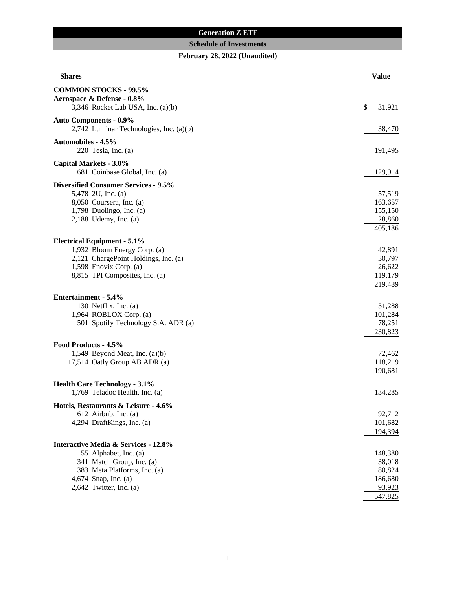## **Generation Z ETF**

## **Schedule of Investments**

# **February 28, 2022 (Unaudited)**

| <b>Shares</b>                                   | <b>Value</b> |
|-------------------------------------------------|--------------|
| <b>COMMON STOCKS - 99.5%</b>                    |              |
| Aerospace & Defense - 0.8%                      |              |
| 3,346 Rocket Lab USA, Inc. (a)(b)               | \$<br>31,921 |
| <b>Auto Components - 0.9%</b>                   |              |
| 2,742 Luminar Technologies, Inc. (a)(b)         | 38,470       |
| <b>Automobiles - 4.5%</b>                       |              |
| 220 Tesla, Inc. $(a)$                           | 191,495      |
| <b>Capital Markets - 3.0%</b>                   |              |
| 681 Coinbase Global, Inc. (a)                   | 129,914      |
| <b>Diversified Consumer Services - 9.5%</b>     |              |
| 5,478 2U, Inc. (a)                              | 57,519       |
| 8,050 Coursera, Inc. (a)                        | 163,657      |
| 1,798 Duolingo, Inc. (a)                        | 155,150      |
| $2,188$ Udemy, Inc. (a)                         | 28,860       |
|                                                 | 405,186      |
| <b>Electrical Equipment - 5.1%</b>              |              |
| 1,932 Bloom Energy Corp. (a)                    | 42,891       |
| 2,121 ChargePoint Holdings, Inc. (a)            | 30,797       |
| 1,598 Enovix Corp. (a)                          | 26,622       |
| 8,815 TPI Composites, Inc. (a)                  | 119,179      |
|                                                 | 219,489      |
| Entertainment - 5.4%                            |              |
| 130 Netflix, Inc. (a)                           | 51,288       |
| 1,964 ROBLOX Corp. (a)                          | 101,284      |
| 501 Spotify Technology S.A. ADR (a)             | 78,251       |
|                                                 | 230,823      |
| Food Products - 4.5%                            |              |
| 1,549 Beyond Meat, Inc. $(a)(b)$                | 72,462       |
| 17,514 Oatly Group AB ADR (a)                   | 118,219      |
|                                                 | 190,681      |
| <b>Health Care Technology - 3.1%</b>            |              |
| 1,769 Teladoc Health, Inc. (a)                  | 134,285      |
| Hotels, Restaurants & Leisure - 4.6%            |              |
| 612 Airbnb, Inc. (a)                            | 92,712       |
| 4,294 DraftKings, Inc. (a)                      | 101,682      |
|                                                 | 194,394      |
| <b>Interactive Media &amp; Services - 12.8%</b> |              |
| 55 Alphabet, Inc. (a)                           | 148,380      |
| 341 Match Group, Inc. (a)                       | 38,018       |
| 383 Meta Platforms, Inc. (a)                    | 80,824       |
| 4,674 Snap, Inc. (a)                            | 186,680      |
| $2,642$ Twitter, Inc. (a)                       | 93,923       |
|                                                 | 547,825      |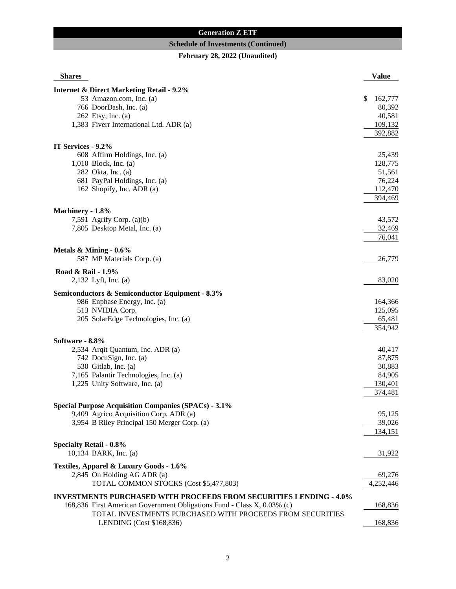## **Generation Z ETF**

## **Schedule of Investments (Continued)**

# **February 28, 2022 (Unaudited)**

| <b>Shares</b>                                                             |    | <b>Value</b> |  |
|---------------------------------------------------------------------------|----|--------------|--|
| <b>Internet &amp; Direct Marketing Retail - 9.2%</b>                      |    |              |  |
| 53 Amazon.com, Inc. (a)                                                   | \$ | 162,777      |  |
| 766 DoorDash, Inc. (a)                                                    |    | 80,392       |  |
| 262 Etsy, Inc. (a)                                                        |    | 40,581       |  |
| 1,383 Fiverr International Ltd. ADR (a)                                   |    | 109,132      |  |
|                                                                           |    | 392,882      |  |
| IT Services - 9.2%                                                        |    |              |  |
| 608 Affirm Holdings, Inc. (a)                                             |    | 25,439       |  |
| $1,010$ Block, Inc. (a)                                                   |    | 128,775      |  |
| 282 Okta, Inc. (a)                                                        |    | 51,561       |  |
| 681 PayPal Holdings, Inc. (a)                                             |    | 76,224       |  |
| 162 Shopify, Inc. ADR (a)                                                 |    | 112,470      |  |
|                                                                           |    | 394,469      |  |
| Machinery - 1.8%                                                          |    |              |  |
| 7,591 Agrify Corp. $(a)(b)$                                               |    | 43,572       |  |
| 7,805 Desktop Metal, Inc. (a)                                             |    | 32,469       |  |
|                                                                           |    | 76,041       |  |
|                                                                           |    |              |  |
| Metals $&$ Mining - $0.6\%$                                               |    |              |  |
| 587 MP Materials Corp. (a)                                                |    | 26,779       |  |
| Road & Rail - 1.9%                                                        |    |              |  |
| 2,132 Lyft, Inc. (a)                                                      |    | 83,020       |  |
| Semiconductors & Semiconductor Equipment - 8.3%                           |    |              |  |
| 986 Enphase Energy, Inc. (a)                                              |    | 164,366      |  |
| 513 NVIDIA Corp.                                                          |    | 125,095      |  |
| 205 SolarEdge Technologies, Inc. (a)                                      |    | 65,481       |  |
|                                                                           |    | 354,942      |  |
| Software - 8.8%                                                           |    |              |  |
| 2,534 Arqit Quantum, Inc. ADR (a)                                         |    | 40,417       |  |
| 742 DocuSign, Inc. (a)                                                    |    | 87,875       |  |
| 530 Gitlab, Inc. (a)                                                      |    | 30,883       |  |
| 7,165 Palantir Technologies, Inc. (a)                                     |    | 84,905       |  |
| 1,225 Unity Software, Inc. (a)                                            |    | 130,401      |  |
|                                                                           |    | 374,481      |  |
| <b>Special Purpose Acquisition Companies (SPACs) - 3.1%</b>               |    |              |  |
| 9,409 Agrico Acquisition Corp. ADR (a)                                    |    | 95,125       |  |
| 3,954 B Riley Principal 150 Merger Corp. (a)                              |    | 39,026       |  |
|                                                                           |    | 134,151      |  |
| <b>Specialty Retail - 0.8%</b>                                            |    |              |  |
| 10,134 BARK, Inc. (a)                                                     |    | 31,922       |  |
| Textiles, Apparel & Luxury Goods - 1.6%                                   |    |              |  |
| 2,845 On Holding AG ADR (a)                                               |    |              |  |
|                                                                           |    | 69,276       |  |
| TOTAL COMMON STOCKS (Cost \$5,477,803)                                    |    | 4,252,446    |  |
| <b>INVESTMENTS PURCHASED WITH PROCEEDS FROM SECURITIES LENDING - 4.0%</b> |    |              |  |
| 168,836 First American Government Obligations Fund - Class X, 0.03% (c)   |    | 168,836      |  |
| TOTAL INVESTMENTS PURCHASED WITH PROCEEDS FROM SECURITIES                 |    |              |  |
| LENDING (Cost \$168,836)                                                  |    | 168,836      |  |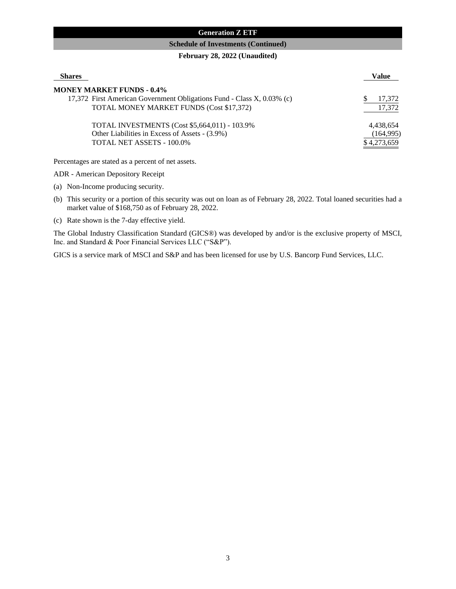## **Generation Z ETF**

#### **Schedule of Investments (Continued)**

#### **February 28, 2022 (Unaudited)**

| <b>Shares</b>                                                                                              | Value                   |
|------------------------------------------------------------------------------------------------------------|-------------------------|
| <b>MONEY MARKET FUNDS - 0.4%</b><br>17,372 First American Government Obligations Fund - Class X, 0.03% (c) | 17.372                  |
| TOTAL MONEY MARKET FUNDS (Cost \$17,372)                                                                   | 17,372                  |
| TOTAL INVESTMENTS (Cost \$5,664,011) - 103.9%<br>Other Liabilities in Excess of Assets - (3.9%)            | 4,438,654<br>(164, 995) |
| TOTAL NET ASSETS - 100.0%                                                                                  | \$4,273,659             |

Percentages are stated as a percent of net assets.

ADR - American Depository Receipt

(a) Non-Income producing security.

- (b) This security or a portion of this security was out on loan as of February 28, 2022. Total loaned securities had a market value of \$168,750 as of February 28, 2022.
- (c) Rate shown is the 7-day effective yield.

The Global Industry Classification Standard (GICS®) was developed by and/or is the exclusive property of MSCI, Inc. and Standard & Poor Financial Services LLC ("S&P").

GICS is a service mark of MSCI and S&P and has been licensed for use by U.S. Bancorp Fund Services, LLC.